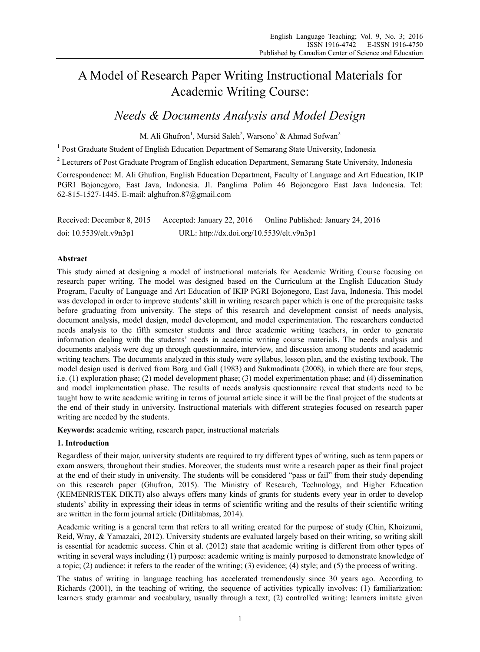# A Model of Research Paper Writing Instructional Materials for Academic Writing Course:

## *Needs & Documents Analysis and Model Design*

M. Ali Ghufron<sup>1</sup>, Mursid Saleh<sup>2</sup>, Warsono<sup>2</sup> & Ahmad Sofwan<sup>2</sup>

<sup>1</sup> Post Graduate Student of English Education Department of Semarang State University, Indonesia

 $2^{2}$  Lecturers of Post Graduate Program of English education Department, Semarang State University, Indonesia

Correspondence: M. Ali Ghufron, English Education Department, Faculty of Language and Art Education, IKIP PGRI Bojonegoro, East Java, Indonesia. Jl. Panglima Polim 46 Bojonegoro East Java Indonesia. Tel: 62-815-1527-1445. E-mail: alghufron.87@gmail.com

| Received: December 8, 2015 | Accepted: January 22, 2016                | Online Published: January 24, 2016 |
|----------------------------|-------------------------------------------|------------------------------------|
| doi: 10.5539/elt.v9n3p1    | URL: http://dx.doi.org/10.5539/elt.v9n3p1 |                                    |

## **Abstract**

This study aimed at designing a model of instructional materials for Academic Writing Course focusing on research paper writing. The model was designed based on the Curriculum at the English Education Study Program, Faculty of Language and Art Education of IKIP PGRI Bojonegoro, East Java, Indonesia. This model was developed in order to improve students' skill in writing research paper which is one of the prerequisite tasks before graduating from university. The steps of this research and development consist of needs analysis, document analysis, model design, model development, and model experimentation. The researchers conducted needs analysis to the fifth semester students and three academic writing teachers, in order to generate information dealing with the students' needs in academic writing course materials. The needs analysis and documents analysis were dug up through questionnaire, interview, and discussion among students and academic writing teachers. The documents analyzed in this study were syllabus, lesson plan, and the existing textbook. The model design used is derived from Borg and Gall (1983) and Sukmadinata (2008), in which there are four steps, i.e. (1) exploration phase; (2) model development phase; (3) model experimentation phase; and (4) dissemination and model implementation phase. The results of needs analysis questionnaire reveal that students need to be taught how to write academic writing in terms of journal article since it will be the final project of the students at the end of their study in university. Instructional materials with different strategies focused on research paper writing are needed by the students.

**Keywords:** academic writing, research paper, instructional materials

## **1. Introduction**

Regardless of their major, university students are required to try different types of writing, such as term papers or exam answers, throughout their studies. Moreover, the students must write a research paper as their final project at the end of their study in university. The students will be considered "pass or fail" from their study depending on this research paper (Ghufron, 2015). The Ministry of Research, Technology, and Higher Education (KEMENRISTEK DIKTI) also always offers many kinds of grants for students every year in order to develop students' ability in expressing their ideas in terms of scientific writing and the results of their scientific writing are written in the form journal article (Ditlitabmas, 2014).

Academic writing is a general term that refers to all writing created for the purpose of study (Chin, Khoizumi, Reid, Wray, & Yamazaki, 2012). University students are evaluated largely based on their writing, so writing skill is essential for academic success. Chin et al. (2012) state that academic writing is different from other types of writing in several ways including (1) purpose: academic writing is mainly purposed to demonstrate knowledge of a topic; (2) audience: it refers to the reader of the writing; (3) evidence; (4) style; and (5) the process of writing.

The status of writing in language teaching has accelerated tremendously since 30 years ago. According to Richards (2001), in the teaching of writing, the sequence of activities typically involves: (1) familiarization: learners study grammar and vocabulary, usually through a text; (2) controlled writing: learners imitate given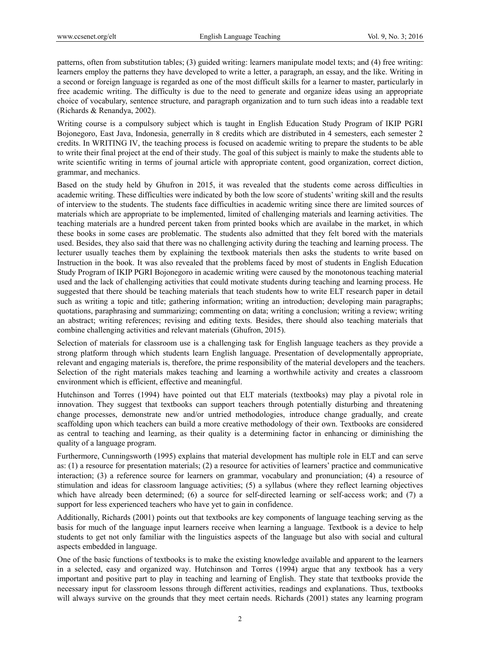patterns, often from substitution tables; (3) guided writing: learners manipulate model texts; and (4) free writing: learners employ the patterns they have developed to write a letter, a paragraph, an essay, and the like. Writing in a second or foreign language is regarded as one of the most difficult skills for a learner to master, particularly in free academic writing. The difficulty is due to the need to generate and organize ideas using an appropriate choice of vocabulary, sentence structure, and paragraph organization and to turn such ideas into a readable text (Richards & Renandya, 2002).

Writing course is a compulsory subject which is taught in English Education Study Program of IKIP PGRI Bojonegoro, East Java, Indonesia, generrally in 8 credits which are distributed in 4 semesters, each semester 2 credits. In WRITING IV, the teaching process is focused on academic writing to prepare the students to be able to write their final project at the end of their study. The goal of this subject is mainly to make the students able to write scientific writing in terms of journal article with appropriate content, good organization, correct diction, grammar, and mechanics.

Based on the study held by Ghufron in 2015, it was revealed that the students come across difficulties in academic writing. These difficulties were indicated by both the low score of students' writing skill and the results of interview to the students. The students face difficulties in academic writing since there are limited sources of materials which are appropriate to be implemented, limited of challenging materials and learning activities. The teaching materials are a hundred percent taken from printed books which are availabe in the market, in which these books in some cases are problematic. The students also admitted that they felt bored with the materials used. Besides, they also said that there was no challenging activity during the teaching and learning process. The lecturer usually teaches them by explaining the textbook materials then asks the students to write based on Instruction in the book. It was also revealed that the problems faced by most of students in English Education Study Program of IKIP PGRI Bojonegoro in academic writing were caused by the monotonous teaching material used and the lack of challenging activities that could motivate students during teaching and learning process. He suggested that there should be teaching materials that teach students how to write ELT research paper in detail such as writing a topic and title; gathering information; writing an introduction; developing main paragraphs; quotations, paraphrasing and summarizing; commenting on data; writing a conclusion; writing a review; writing an abstract; writing references; revising and editing texts. Besides, there should also teaching materials that combine challenging activities and relevant materials (Ghufron, 2015).

Selection of materials for classroom use is a challenging task for English language teachers as they provide a strong platform through which students learn English language. Presentation of developmentally appropriate, relevant and engaging materials is, therefore, the prime responsibility of the material developers and the teachers. Selection of the right materials makes teaching and learning a worthwhile activity and creates a classroom environment which is efficient, effective and meaningful.

Hutchinson and Torres (1994) have pointed out that ELT materials (textbooks) may play a pivotal role in innovation. They suggest that textbooks can support teachers through potentially disturbing and threatening change processes, demonstrate new and/or untried methodologies, introduce change gradually, and create scaffolding upon which teachers can build a more creative methodology of their own. Textbooks are considered as central to teaching and learning, as their quality is a determining factor in enhancing or diminishing the quality of a language program.

Furthermore, Cunningsworth (1995) explains that material development has multiple role in ELT and can serve as: (1) a resource for presentation materials; (2) a resource for activities of learners' practice and communicative interaction; (3) a reference source for learners on grammar, vocabulary and pronunciation; (4) a resource of stimulation and ideas for classroom language activities; (5) a syllabus (where they reflect learning objectives which have already been determined; (6) a source for self-directed learning or self-access work; and (7) a support for less experienced teachers who have yet to gain in confidence.

Additionally, Richards (2001) points out that textbooks are key components of language teaching serving as the basis for much of the language input learners receive when learning a language. Textbook is a device to help students to get not only familiar with the linguistics aspects of the language but also with social and cultural aspects embedded in language.

One of the basic functions of textbooks is to make the existing knowledge available and apparent to the learners in a selected, easy and organized way. Hutchinson and Torres (1994) argue that any textbook has a very important and positive part to play in teaching and learning of English. They state that textbooks provide the necessary input for classroom lessons through different activities, readings and explanations. Thus, textbooks will always survive on the grounds that they meet certain needs. Richards (2001) states any learning program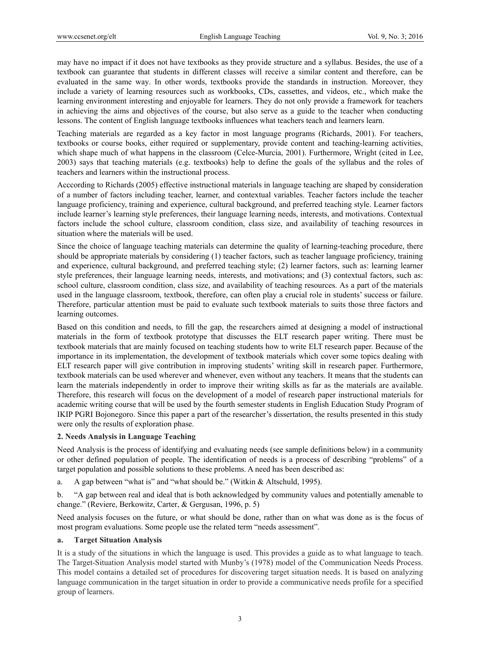may have no impact if it does not have textbooks as they provide structure and a syllabus. Besides, the use of a textbook can guarantee that students in different classes will receive a similar content and therefore, can be evaluated in the same way. In other words, textbooks provide the standards in instruction. Moreover, they include a variety of learning resources such as workbooks, CDs, cassettes, and videos, etc., which make the learning environment interesting and enjoyable for learners. They do not only provide a framework for teachers in achieving the aims and objectives of the course, but also serve as a guide to the teacher when conducting lessons. The content of English language textbooks influences what teachers teach and learners learn.

Teaching materials are regarded as a key factor in most language programs (Richards, 2001). For teachers, textbooks or course books, either required or supplementary, provide content and teaching-learning activities, which shape much of what happens in the classroom (Celce-Murcia, 2001). Furthermore, Wright (cited in Lee, 2003) says that teaching materials (e.g. textbooks) help to define the goals of the syllabus and the roles of teachers and learners within the instructional process.

Acccording to Richards (2005) effective instructional materials in language teaching are shaped by consideration of a number of factors including teacher, learner, and contextual variables. Teacher factors include the teacher language proficiency, training and experience, cultural background, and preferred teaching style. Learner factors include learner's learning style preferences, their language learning needs, interests, and motivations. Contextual factors include the school culture, classroom condition, class size, and availability of teaching resources in situation where the materials will be used.

Since the choice of language teaching materials can determine the quality of learning-teaching procedure, there should be appropriate materials by considering (1) teacher factors, such as teacher language proficiency, training and experience, cultural background, and preferred teaching style; (2) learner factors, such as: learning learner style preferences, their language learning needs, interests, and motivations; and (3) contextual factors, such as: school culture, classroom condition, class size, and availability of teaching resources. As a part of the materials used in the language classroom, textbook, therefore, can often play a crucial role in students' success or failure. Therefore, particular attention must be paid to evaluate such textbook materials to suits those three factors and learning outcomes.

Based on this condition and needs, to fill the gap, the researchers aimed at designing a model of instructional materials in the form of textbook prototype that discusses the ELT research paper writing. There must be textbook materials that are mainly focused on teaching students how to write ELT research paper. Because of the importance in its implementation, the development of textbook materials which cover some topics dealing with ELT research paper will give contribution in improving students' writing skill in research paper. Furthermore, textbook materials can be used wherever and whenever, even without any teachers. It means that the students can learn the materials independently in order to improve their writing skills as far as the materials are available. Therefore, this research will focus on the development of a model of research paper instructional materials for academic writing course that will be used by the fourth semester students in English Education Study Program of IKIP PGRI Bojonegoro. Since this paper a part of the researcher's dissertation, the results presented in this study were only the results of exploration phase.

## **2. Needs Analysis in Language Teaching**

Need Analysis is the process of identifying and evaluating needs (see sample definitions below) in a community or other defined population of people. The identification of needs is a process of describing "problems" of a target population and possible solutions to these problems. A need has been described as:

a. A gap between "what is" and "what should be." (Witkin & Altschuld, 1995).

b. "A gap between real and ideal that is both acknowledged by community values and potentially amenable to change." (Reviere, Berkowitz, Carter, & Gergusan, 1996, p. 5)

Need analysis focuses on the future, or what should be done, rather than on what was done as is the focus of most program evaluations. Some people use the related term "needs assessment".

#### **a. Target Situation Analysis**

It is a study of the situations in which the language is used. This provides a guide as to what language to teach. The Target-Situation Analysis model started with Munby's (1978) model of the Communication Needs Process. This model contains a detailed set of procedures for discovering target situation needs. It is based on analyzing language communication in the target situation in order to provide a communicative needs profile for a specified group of learners.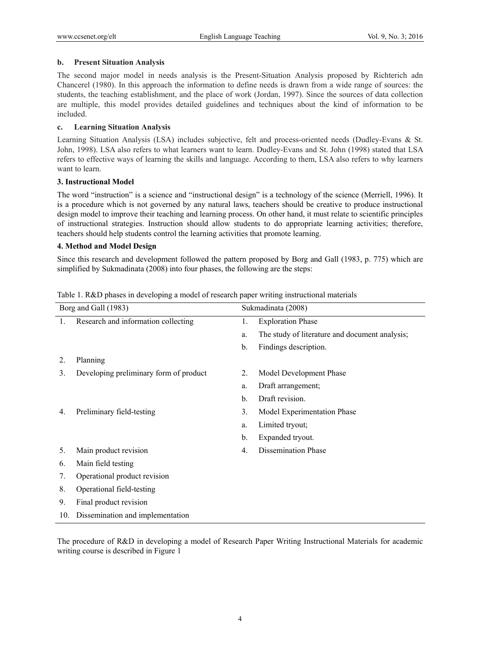## **b. Present Situation Analysis**

The second major model in needs analysis is the Present-Situation Analysis proposed by Richterich adn Chancerel (1980). In this approach the information to define needs is drawn from a wide range of sources: the students, the teaching establishment, and the place of work (Jordan, 1997). Since the sources of data collection are multiple, this model provides detailed guidelines and techniques about the kind of information to be included.

## **c. Learning Situation Analysis**

Learning Situation Analysis (LSA) includes subjective, felt and process-oriented needs (Dudley-Evans & St. John, 1998). LSA also refers to what learners want to learn. Dudley-Evans and St. John (1998) stated that LSA refers to effective ways of learning the skills and language. According to them, LSA also refers to why learners want to learn.

## **3. Instructional Model**

The word "instruction" is a science and "instructional design" is a technology of the science (Merriell, 1996). It is a procedure which is not governed by any natural laws, teachers should be creative to produce instructional design model to improve their teaching and learning process. On other hand, it must relate to scientific principles of instructional strategies. Instruction should allow students to do appropriate learning activities; therefore, teachers should help students control the learning activities that promote learning.

## **4. Method and Model Design**

Since this research and development followed the pattern proposed by Borg and Gall (1983, p. 775) which are simplified by Sukmadinata (2008) into four phases, the following are the steps:

|                | Borg and Gall (1983)<br>Sukmadinata (2008) |    |                                                |
|----------------|--------------------------------------------|----|------------------------------------------------|
| $\mathbf{1}$ . | Research and information collecting        | 1. | <b>Exploration Phase</b>                       |
|                |                                            | a. | The study of literature and document analysis; |
|                |                                            | b. | Findings description.                          |
| 2.             | Planning                                   |    |                                                |
| 3.             | Developing preliminary form of product     | 2. | Model Development Phase                        |
|                |                                            | a. | Draft arrangement;                             |
|                |                                            | b. | Draft revision.                                |
| 4.             | Preliminary field-testing                  | 3. | Model Experimentation Phase                    |
|                |                                            | a. | Limited tryout;                                |
|                |                                            | b. | Expanded tryout.                               |
| 5.             | Main product revision                      | 4. | <b>Dissemination Phase</b>                     |
| 6.             | Main field testing                         |    |                                                |
| 7.             | Operational product revision               |    |                                                |
| 8.             | Operational field-testing                  |    |                                                |
| 9.             | Final product revision                     |    |                                                |
| 10.            | Dissemination and implementation           |    |                                                |

Table 1. R&D phases in developing a model of research paper writing instructional materials

The procedure of R&D in developing a model of Research Paper Writing Instructional Materials for academic writing course is described in Figure 1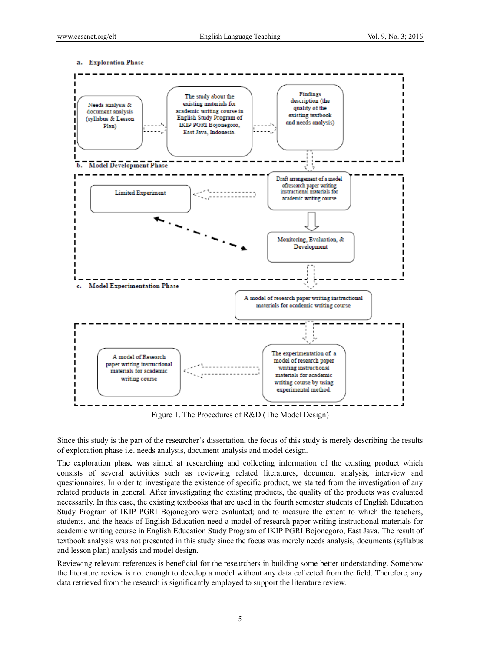#### a. Exploration Phase



Figure 1. The Procedures of R&D (The Model Design)

Since this study is the part of the researcher's dissertation, the focus of this study is merely describing the results of exploration phase i.e. needs analysis, document analysis and model design.

The exploration phase was aimed at researching and collecting information of the existing product which consists of several activities such as reviewing related literatures, document analysis, interview and questionnaires. In order to investigate the existence of specific product, we started from the investigation of any related products in general. After investigating the existing products, the quality of the products was evaluated necessarily. In this case, the existing textbooks that are used in the fourth semester students of English Education Study Program of IKIP PGRI Bojonegoro were evaluated; and to measure the extent to which the teachers, students, and the heads of English Education need a model of research paper writing instructional materials for academic writing course in English Education Study Program of IKIP PGRI Bojonegoro, East Java. The result of textbook analysis was not presented in this study since the focus was merely needs analysis, documents (syllabus and lesson plan) analysis and model design.

Reviewing relevant references is beneficial for the researchers in building some better understanding. Somehow the literature review is not enough to develop a model without any data collected from the field. Therefore, any data retrieved from the research is significantly employed to support the literature review.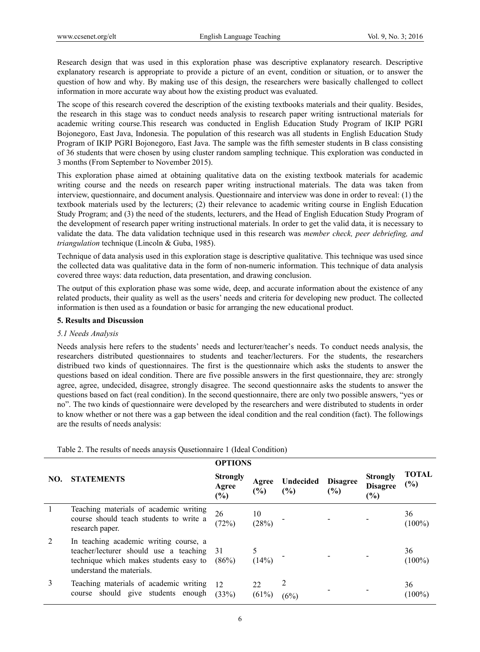Research design that was used in this exploration phase was descriptive explanatory research. Descriptive explanatory research is appropriate to provide a picture of an event, condition or situation, or to answer the question of how and why. By making use of this design, the researchers were basically challenged to collect information in more accurate way about how the existing product was evaluated.

The scope of this research covered the description of the existing textbooks materials and their quality. Besides, the research in this stage was to conduct needs analysis to research paper writing isntructional materials for academic writing course.This research was conducted in English Education Study Program of IKIP PGRI Bojonegoro, East Java, Indonesia. The population of this research was all students in English Education Study Program of IKIP PGRI Bojonegoro, East Java. The sample was the fifth semester students in B class consisting of 36 students that were chosen by using cluster random sampling technique. This exploration was conducted in 3 months (From September to November 2015).

This exploration phase aimed at obtaining qualitative data on the existing textbook materials for academic writing course and the needs on research paper writing instructional materials. The data was taken from interview, questionnaire, and document analysis. Questionnaire and interview was done in order to reveal: (1) the textbook materials used by the lecturers; (2) their relevance to academic writing course in English Education Study Program; and (3) the need of the students, lecturers, and the Head of English Education Study Program of the development of research paper writing instructional materials. In order to get the valid data, it is necessary to validate the data. The data validation technique used in this research was *member check, peer debriefing, and triangulation* technique (Lincoln & Guba, 1985).

Technique of data analysis used in this exploration stage is descriptive qualitative. This technique was used since the collected data was qualitative data in the form of non-numeric information. This technique of data analysis covered three ways: data reduction, data presentation, and drawing conclusion.

The output of this exploration phase was some wide, deep, and accurate information about the existence of any related products, their quality as well as the users' needs and criteria for developing new product. The collected information is then used as a foundation or basic for arranging the new educational product.

## **5. Results and Discussion**

#### *5.1 Needs Analysis*

Needs analysis here refers to the students' needs and lecturer/teacher's needs. To conduct needs analysis, the researchers distributed questionnaires to students and teacher/lecturers. For the students, the researchers distribued two kinds of questionnaires. The first is the questionnaire which asks the students to answer the questions based on ideal condition. There are five possible answers in the first questionnaire, they are: strongly agree, agree, undecided, disagree, strongly disagree. The second questionnaire asks the students to answer the questions based on fact (real condition). In the second questionnaire, there are only two possible answers, "yes or no". The two kinds of questionnaire were developed by the researchers and were distributed to students in order to know whether or not there was a gap between the ideal condition and the real condition (fact). The followings are the results of needs analysis:

|                |                                                                                                                                                         | <b>OPTIONS</b>                     |              |                     |                        |                                              |                        |
|----------------|---------------------------------------------------------------------------------------------------------------------------------------------------------|------------------------------------|--------------|---------------------|------------------------|----------------------------------------------|------------------------|
| NO.            | <b>STATEMENTS</b>                                                                                                                                       | <b>Strongly</b><br>Agree<br>$(\%)$ | Agree<br>(%) | Undecided<br>$(\%)$ | <b>Disagree</b><br>(%) | <b>Strongly</b><br><b>Disagree</b><br>$(\%)$ | <b>TOTAL</b><br>$(\%)$ |
|                | Teaching materials of academic writing<br>course should teach students to write a<br>research paper.                                                    | 26<br>(72%)                        | 10<br>(28%)  |                     |                        |                                              | 36<br>$(100\%)$        |
| $\overline{2}$ | In teaching academic writing course, a<br>teacher/lecturer should use a teaching<br>technique which makes students easy to<br>understand the materials. | -31<br>(86%)                       | (14%)        |                     |                        |                                              | 36<br>$(100\%)$        |
|                | Teaching materials of academic writing<br>should give students enough<br>course                                                                         | 12<br>(33%)                        | 22<br>(61%)  | (6%)                |                        |                                              | 36<br>$(100\%)$        |

Table 2. The results of needs anaysis Qusetionnaire 1 (Ideal Condition)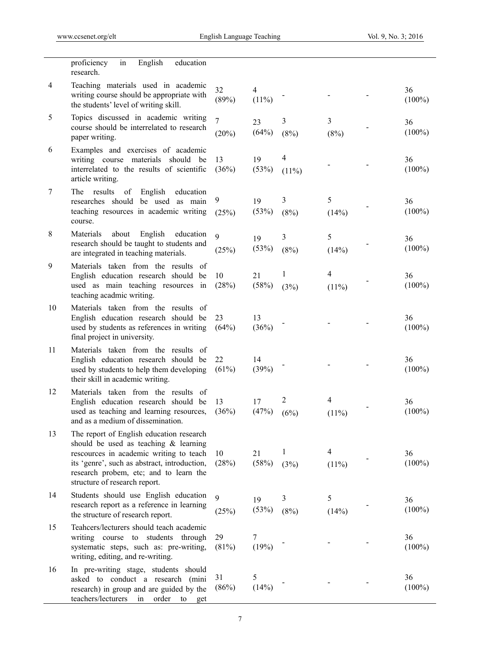|    | English<br>education<br>proficiency<br>1n<br>research.                                                                                                                                                                                                     |             |               |               |                            |                 |
|----|------------------------------------------------------------------------------------------------------------------------------------------------------------------------------------------------------------------------------------------------------------|-------------|---------------|---------------|----------------------------|-----------------|
| 4  | Teaching materials used in academic<br>writing course should be appropriate with<br>the students' level of writing skill.                                                                                                                                  | 32<br>(89%) | 4<br>$(11\%)$ |               |                            | 36<br>$(100\%)$ |
| 5  | Topics discussed in academic writing<br>course should be interrelated to research<br>paper writing.                                                                                                                                                        | 7<br>(20%)  | 23<br>(64%)   | 3<br>(8%)     | 3<br>(8%)                  | 36<br>$(100\%)$ |
| 6  | Examples and exercises of academic<br>writing course materials should be<br>interrelated to the results of scientific<br>article writing.                                                                                                                  | 13<br>(36%) | 19<br>(53%)   | 4<br>$(11\%)$ |                            | 36<br>$(100\%)$ |
| 7  | results<br>English<br>The<br>of<br>education<br>researches should be used as main<br>teaching resources in academic writing<br>course.                                                                                                                     | 9<br>(25%)  | 19<br>(53%)   | 3<br>(8%)     | 5<br>(14%)                 | 36<br>$(100\%)$ |
| 8  | Materials<br>about<br>English<br>education<br>research should be taught to students and<br>are integrated in teaching materials.                                                                                                                           | 9<br>(25%)  | 19<br>(53%)   | 3<br>(8%)     | 5<br>(14%)                 | 36<br>$(100\%)$ |
| 9  | Materials taken from the results of<br>English education research should be<br>used as main teaching resources in<br>teaching acadmic writing.                                                                                                             | 10<br>(28%) | 21<br>(58%)   | 1<br>(3%)     | 4<br>$(11\%)$              | 36<br>$(100\%)$ |
| 10 | Materials taken from the results of<br>English education research should be<br>used by students as references in writing<br>final project in university.                                                                                                   | 23<br>(64%) | 13<br>(36%)   |               |                            | 36<br>$(100\%)$ |
| 11 | Materials taken from the results of<br>English education research should be<br>used by students to help them developing<br>their skill in academic writing.                                                                                                | 22<br>(61%) | 14<br>(39%)   |               |                            | 36<br>$(100\%)$ |
| 12 | Materials taken from the results of<br>English education research should be<br>used as teaching and learning resources,<br>and as a medium of dissemination.                                                                                               | 13<br>(36%) | 17<br>(47%)   | 2<br>(6%)     | 4<br>(11%)                 | 36<br>$(100\%)$ |
| 13 | The report of English education research<br>should be used as teaching $\&$ learning<br>rescources in academic writing to teach<br>its 'genre', such as abstract, introduction,<br>research probem, etc; and to learn the<br>structure of research report. | 10<br>(28%) | 21<br>(58%)   | 1<br>(3%)     | $\overline{4}$<br>$(11\%)$ | 36<br>$(100\%)$ |
| 14 | Students should use English education<br>research report as a reference in learning<br>the structure of research report.                                                                                                                                   | 9<br>(25%)  | 19<br>(53%)   | 3<br>(8%)     | 5<br>(14%)                 | 36<br>$(100\%)$ |
| 15 | Teahcers/lecturers should teach academic<br>writing course to students through<br>systematic steps, such as: pre-writing,<br>writing, editing, and re-writing.                                                                                             | 29<br>(81%) | 7<br>(19%)    |               |                            | 36<br>$(100\%)$ |
| 16 | In pre-writing stage, students should<br>asked to conduct a research (mini<br>research) in group and are guided by the<br>teachers/lecturers in order to get                                                                                               | 31<br>(86%) | 5<br>(14%)    |               |                            | 36<br>$(100\%)$ |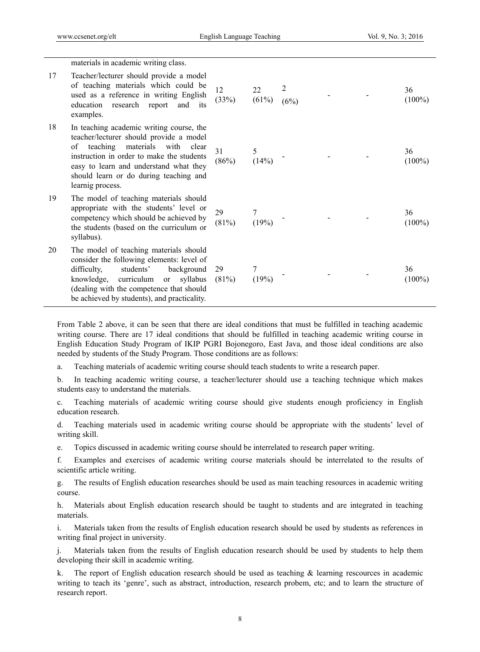|    | materials in academic writing class.                                                                                                                                                                                                                                              |             |             |           |  |                 |
|----|-----------------------------------------------------------------------------------------------------------------------------------------------------------------------------------------------------------------------------------------------------------------------------------|-------------|-------------|-----------|--|-----------------|
| 17 | Teacher/lecturer should provide a model<br>of teaching materials which could be<br>used as a reference in writing English<br>education<br>research report<br>and<br>its<br>examples.                                                                                              | 12<br>(33%) | 22<br>(61%) | 2<br>(6%) |  | 36<br>$(100\%)$ |
| 18 | In teaching academic writing course, the<br>teacher/lecturer should provide a model<br>of teaching materials with<br>clear<br>instruction in order to make the students<br>easy to learn and understand what they<br>should learn or do during teaching and<br>learnig process.   | 31<br>(86%) | 5<br>(14%)  |           |  | 36<br>$(100\%)$ |
| 19 | The model of teaching materials should<br>appropriate with the students' level or<br>competency which should be achieved by<br>the students (based on the curriculum or<br>syllabus).                                                                                             | 29<br>(81%) | 7<br>(19%)  |           |  | 36<br>$(100\%)$ |
| 20 | The model of teaching materials should<br>consider the following elements: level of<br>students'<br>difficulty,<br>background<br>curriculum<br>syllabus<br>knowledge,<br><sub>or</sub><br>(dealing with the competence that should<br>be achieved by students), and practicality. | 29<br>(81%) | 7<br>(19%)  |           |  | 36<br>$(100\%)$ |

From Table 2 above, it can be seen that there are ideal conditions that must be fulfilled in teaching academic writing course. There are 17 ideal conditions that should be fulfilled in teaching academic writing course in English Education Study Program of IKIP PGRI Bojonegoro, East Java, and those ideal conditions are also needed by students of the Study Program. Those conditions are as follows:

a. Teaching materials of academic writing course should teach students to write a research paper.

b. In teaching academic writing course, a teacher/lecturer should use a teaching technique which makes students easy to understand the materials.

c. Teaching materials of academic writing course should give students enough proficiency in English education research.

d. Teaching materials used in academic writing course should be appropriate with the students' level of writing skill.

e. Topics discussed in academic writing course should be interrelated to research paper writing.

f. Examples and exercises of academic writing course materials should be interrelated to the results of scientific article writing.

g. The results of English education researches should be used as main teaching resources in academic writing course.

h. Materials about English education research should be taught to students and are integrated in teaching materials.

i. Materials taken from the results of English education research should be used by students as references in writing final project in university.

j. Materials taken from the results of English education research should be used by students to help them developing their skill in academic writing.

The report of English education research should be used as teaching  $\&$  learning rescources in academic writing to teach its 'genre', such as abstract, introduction, research probem, etc; and to learn the structure of research report.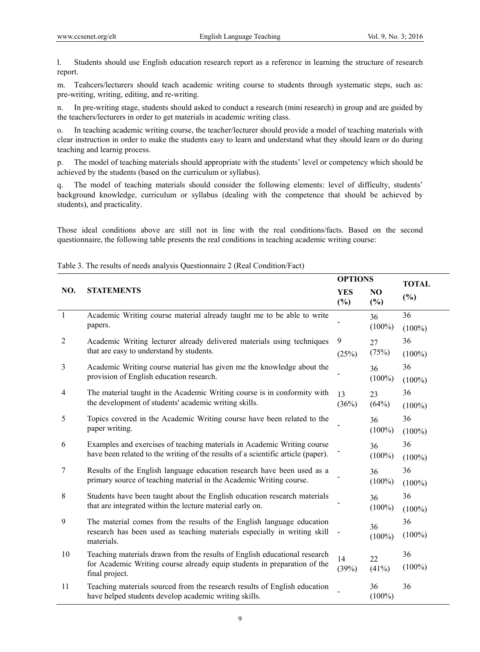l. Students should use English education research report as a reference in learning the structure of research report.

m. Teahcers/lecturers should teach academic writing course to students through systematic steps, such as: pre-writing, writing, editing, and re-writing.

n. In pre-writing stage, students should asked to conduct a research (mini research) in group and are guided by the teachers/lecturers in order to get materials in academic writing class.

o. In teaching academic writing course, the teacher/lecturer should provide a model of teaching materials with clear instruction in order to make the students easy to learn and understand what they should learn or do during teaching and learnig process.

p. The model of teaching materials should appropriate with the students' level or competency which should be achieved by the students (based on the curriculum or syllabus).

q. The model of teaching materials should consider the following elements: level of difficulty, students' background knowledge, curriculum or syllabus (dealing with the competence that should be achieved by students), and practicality.

Those ideal conditions above are still not in line with the real conditions/facts. Based on the second questionnaire, the following table presents the real conditions in teaching academic writing course:

|              |                                                                                                                                                                         | <b>OPTIONS</b>    |                 | <b>TOTAL</b>    |
|--------------|-------------------------------------------------------------------------------------------------------------------------------------------------------------------------|-------------------|-----------------|-----------------|
| NO.          | <b>STATEMENTS</b>                                                                                                                                                       | <b>YES</b><br>(%) | NO<br>(%)       | $(\%)$          |
| $\mathbf{1}$ | Academic Writing course material already taught me to be able to write<br>papers.                                                                                       |                   | 36<br>$(100\%)$ | 36<br>$(100\%)$ |
| 2            | Academic Writing lecturer already delivered materials using techniques<br>that are easy to understand by students.                                                      | 9<br>(25%)        | 27<br>(75%)     | 36<br>$(100\%)$ |
| 3            | Academic Writing course material has given me the knowledge about the<br>provision of English education research.                                                       |                   | 36<br>$(100\%)$ | 36<br>$(100\%)$ |
| 4            | The material taught in the Academic Writing course is in conformity with<br>the development of students' academic writing skills.                                       | 13<br>(36%)       | 23<br>(64%)     | 36<br>$(100\%)$ |
| 5            | Topics covered in the Academic Writing course have been related to the<br>paper writing.                                                                                |                   | 36<br>$(100\%)$ | 36<br>$(100\%)$ |
| 6            | Examples and exercises of teaching materials in Academic Writing course<br>have been related to the writing of the results of a scientific article (paper).             |                   | 36<br>$(100\%)$ | 36<br>$(100\%)$ |
| 7            | Results of the English language education research have been used as a<br>primary source of teaching material in the Academic Writing course.                           |                   | 36<br>$(100\%)$ | 36<br>$(100\%)$ |
| 8            | Students have been taught about the English education research materials<br>that are integrated within the lecture material early on.                                   |                   | 36<br>$(100\%)$ | 36<br>$(100\%)$ |
| 9            | The material comes from the results of the English language education<br>research has been used as teaching materials especially in writing skill<br>materials.         |                   | 36<br>$(100\%)$ | 36<br>$(100\%)$ |
| 10           | Teaching materials drawn from the results of English educational research<br>for Academic Writing course already equip students in preparation of the<br>final project. | 14<br>(39%)       | 22<br>(41%)     | 36<br>$(100\%)$ |
| 11           | Teaching materials sourced from the research results of English education<br>have helped students develop academic writing skills.                                      |                   | 36<br>$(100\%)$ | 36              |

| Table 3. The results of needs analysis Questionnaire 2 (Real Condition/Fact) |
|------------------------------------------------------------------------------|
|------------------------------------------------------------------------------|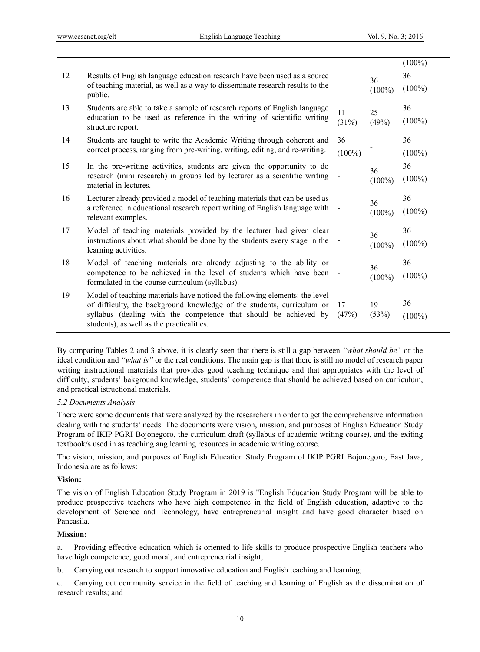|    |                                                                                                                                                                                                                                                                       |             |                 | $(100\%)$       |
|----|-----------------------------------------------------------------------------------------------------------------------------------------------------------------------------------------------------------------------------------------------------------------------|-------------|-----------------|-----------------|
| 12 | Results of English language education research have been used as a source<br>of teaching material, as well as a way to disseminate research results to the<br>public.                                                                                                 |             | 36<br>$(100\%)$ | 36<br>$(100\%)$ |
| 13 | Students are able to take a sample of research reports of English language<br>education to be used as reference in the writing of scientific writing<br>structure report.                                                                                             | 11<br>(31%) | 25<br>(49%)     | 36<br>$(100\%)$ |
| 14 | Students are taught to write the Academic Writing through coherent and                                                                                                                                                                                                | 36          |                 | 36              |
|    | correct process, ranging from pre-writing, writing, editing, and re-writing.                                                                                                                                                                                          | $(100\%)$   |                 | $(100\%)$       |
| 15 | In the pre-writing activities, students are given the opportunity to do                                                                                                                                                                                               |             | 36              | 36              |
|    | research (mini research) in groups led by lecturer as a scientific writing<br>material in lectures.                                                                                                                                                                   |             | $(100\%)$       | $(100\%)$       |
| 16 | Lecturer already provided a model of teaching materials that can be used as<br>a reference in educational research report writing of English language with<br>relevant examples.                                                                                      |             | 36<br>$(100\%)$ | 36<br>$(100\%)$ |
| 17 | Model of teaching materials provided by the lecturer had given clear<br>instructions about what should be done by the students every stage in the<br>learning activities.                                                                                             |             | 36<br>$(100\%)$ | 36<br>$(100\%)$ |
| 18 | Model of teaching materials are already adjusting to the ability or<br>competence to be achieved in the level of students which have been<br>formulated in the course curriculum (syllabus).                                                                          |             | 36<br>$(100\%)$ | 36<br>$(100\%)$ |
| 19 | Model of teaching materials have noticed the following elements: the level<br>of difficulty, the background knowledge of the students, curriculum or<br>syllabus (dealing with the competence that should be achieved by<br>students), as well as the practicalities. | 17<br>(47%) | 19<br>(53%)     | 36<br>$(100\%)$ |
|    |                                                                                                                                                                                                                                                                       |             |                 |                 |

By comparing Tables 2 and 3 above, it is clearly seen that there is still a gap between *"what should be"* or the ideal condition and *"what is"* or the real conditions. The main gap is that there is still no model of research paper writing instructional materials that provides good teaching technique and that appropriates with the level of difficulty, students' bakground knowledge, students' competence that should be achieved based on curriculum, and practical istructional materials.

#### *5.2 Documents Analysis*

There were some documents that were analyzed by the researchers in order to get the comprehensive information dealing with the students' needs. The documents were vision, mission, and purposes of English Education Study Program of IKIP PGRI Bojonegoro, the curriculum draft (syllabus of academic writing course), and the exiting textbook/s used in as teaching ang learning resources in academic writing course.

The vision, mission, and purposes of English Education Study Program of IKIP PGRI Bojonegoro, East Java, Indonesia are as follows:

## **Vision:**

The vision of English Education Study Program in 2019 is "English Education Study Program will be able to produce prospective teachers who have high competence in the field of English education, adaptive to the development of Science and Technology, have entrepreneurial insight and have good character based on Pancasila.

## **Mission:**

a. Providing effective education which is oriented to life skills to produce prospective English teachers who have high competence, good moral, and entrepreneurial insight;

b. Carrying out research to support innovative education and English teaching and learning;

c. Carrying out community service in the field of teaching and learning of English as the dissemination of research results; and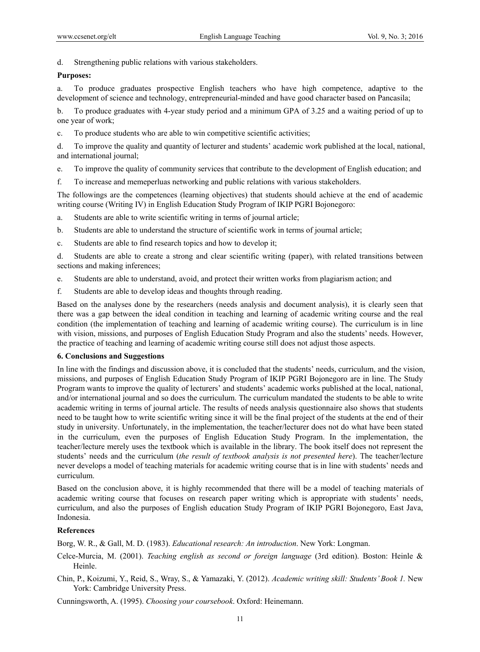d. Strengthening public relations with various stakeholders.

#### **Purposes:**

a. To produce graduates prospective English teachers who have high competence, adaptive to the development of science and technology, entrepreneurial-minded and have good character based on Pancasila;

b. To produce graduates with 4-year study period and a minimum GPA of 3.25 and a waiting period of up to one year of work;

c. To produce students who are able to win competitive scientific activities;

d. To improve the quality and quantity of lecturer and students' academic work published at the local, national, and international journal;

- e. To improve the quality of community services that contribute to the development of English education; and
- f. To increase and memeperluas networking and public relations with various stakeholders.

The followings are the competences (learning objectives) that students should achieve at the end of academic writing course (Writing IV) in English Education Study Program of IKIP PGRI Bojonegoro:

- a. Students are able to write scientific writing in terms of journal article;
- b. Students are able to understand the structure of scientific work in terms of journal article;
- c. Students are able to find research topics and how to develop it;

d. Students are able to create a strong and clear scientific writing (paper), with related transitions between sections and making inferences;

- e. Students are able to understand, avoid, and protect their written works from plagiarism action; and
- f. Students are able to develop ideas and thoughts through reading.

Based on the analyses done by the researchers (needs analysis and document analysis), it is clearly seen that there was a gap between the ideal condition in teaching and learning of academic writing course and the real condition (the implementation of teaching and learning of academic writing course). The curriculum is in line with vision, missions, and purposes of English Education Study Program and also the students' needs. However, the practice of teaching and learning of academic writing course still does not adjust those aspects.

#### **6. Conclusions and Suggestions**

In line with the findings and discussion above, it is concluded that the students' needs, curriculum, and the vision, missions, and purposes of English Education Study Program of IKIP PGRI Bojonegoro are in line. The Study Program wants to improve the quality of lecturers' and students' academic works published at the local, national, and/or international journal and so does the curriculum. The curriculum mandated the students to be able to write academic writing in terms of journal article. The results of needs analysis questionnaire also shows that students need to be taught how to write scientific writing since it will be the final project of the students at the end of their study in university. Unfortunately, in the implementation, the teacher/lecturer does not do what have been stated in the curriculum, even the purposes of English Education Study Program. In the implementation, the teacher/lecture merely uses the textbook which is available in the library. The book itself does not represent the students' needs and the curriculum (*the result of textbook analysis is not presented here*). The teacher/lecture never develops a model of teaching materials for academic writing course that is in line with students' needs and curriculum.

Based on the conclusion above, it is highly recommended that there will be a model of teaching materials of academic writing course that focuses on research paper writing which is appropriate with students' needs, curriculum, and also the purposes of English education Study Program of IKIP PGRI Bojonegoro, East Java, Indonesia.

#### **References**

Borg, W. R., & Gall, M. D. (1983). *Educational research: An introduction*. New York: Longman.

- Celce-Murcia, M. (2001). *Teaching english as second or foreign language* (3rd edition). Boston: Heinle & Heinle.
- Chin, P., Koizumi, Y., Reid, S., Wray, S., & Yamazaki, Y. (2012). *Academic writing skill: Students' Book 1.* New York: Cambridge University Press.

Cunningsworth, A. (1995). *Choosing your coursebook*. Oxford: Heinemann.